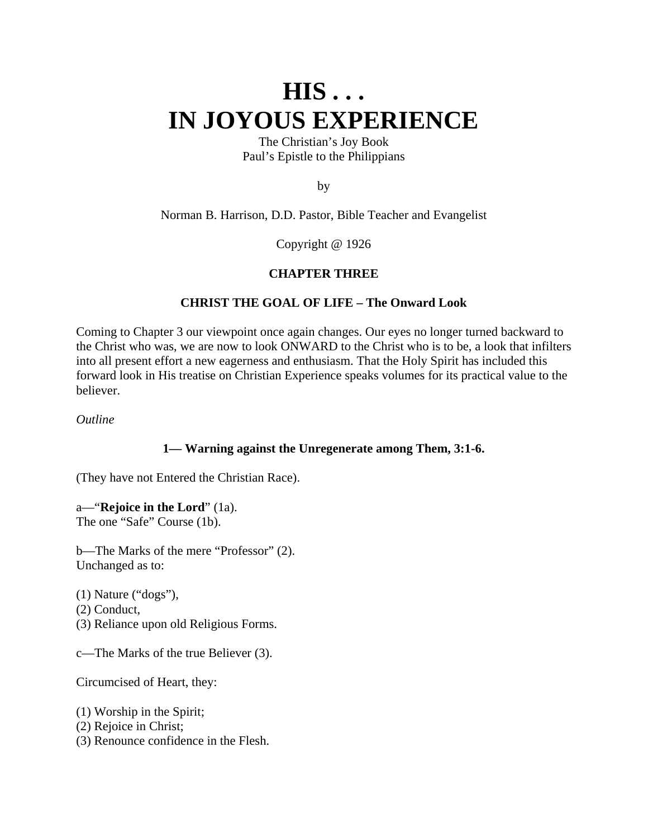# **HIS . . . IN JOYOUS EXPERIENCE**

The Christian's Joy Book Paul's Epistle to the Philippians

by

Norman B. Harrison, D.D. Pastor, Bible Teacher and Evangelist

Copyright @ 1926

#### **CHAPTER THREE**

#### **CHRIST THE GOAL OF LIFE – The Onward Look**

Coming to Chapter 3 our viewpoint once again changes. Our eyes no longer turned backward to the Christ who was, we are now to look ONWARD to the Christ who is to be, a look that infilters into all present effort a new eagerness and enthusiasm. That the Holy Spirit has included this forward look in His treatise on Christian Experience speaks volumes for its practical value to the believer.

*Outline*

#### **1— Warning against the Unregenerate among Them, 3:1-6.**

(They have not Entered the Christian Race).

a—"**Rejoice in the Lord**" (1a). The one "Safe" Course (1b).

b—The Marks of the mere "Professor" (2). Unchanged as to:

(1) Nature ("dogs"), (2) Conduct, (3) Reliance upon old Religious Forms.

c—The Marks of the true Believer (3).

Circumcised of Heart, they:

(1) Worship in the Spirit;

(2) Rejoice in Christ;

(3) Renounce confidence in the Flesh.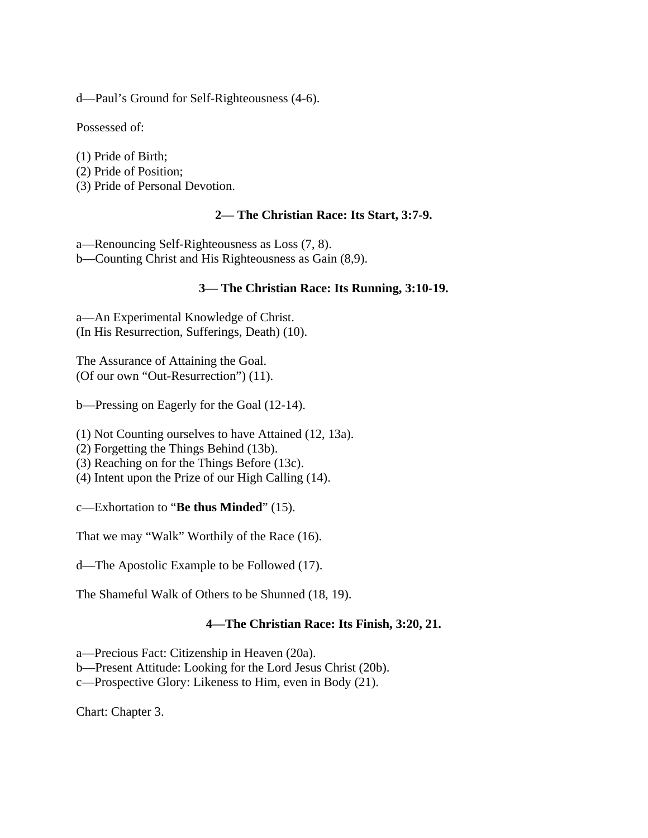d—Paul's Ground for Self-Righteousness (4-6).

Possessed of:

(1) Pride of Birth; (2) Pride of Position; (3) Pride of Personal Devotion.

### **2— The Christian Race: Its Start, 3:7-9.**

a—Renouncing Self-Righteousness as Loss (7, 8).

b—Counting Christ and His Righteousness as Gain (8,9).

# **3— The Christian Race: Its Running, 3:10-19.**

a—An Experimental Knowledge of Christ. (In His Resurrection, Sufferings, Death) (10).

The Assurance of Attaining the Goal. (Of our own "Out-Resurrection") (11).

b—Pressing on Eagerly for the Goal (12-14).

(1) Not Counting ourselves to have Attained (12, 13a).

(2) Forgetting the Things Behind (13b).

- (3) Reaching on for the Things Before (13c).
- (4) Intent upon the Prize of our High Calling (14).

c—Exhortation to "**Be thus Minded**" (15).

That we may "Walk" Worthily of the Race (16).

d—The Apostolic Example to be Followed (17).

The Shameful Walk of Others to be Shunned (18, 19).

### **4—The Christian Race: Its Finish, 3:20, 21.**

a—Precious Fact: Citizenship in Heaven (20a).

b—Present Attitude: Looking for the Lord Jesus Christ (20b).

c—Prospective Glory: Likeness to Him, even in Body (21).

Chart: Chapter 3.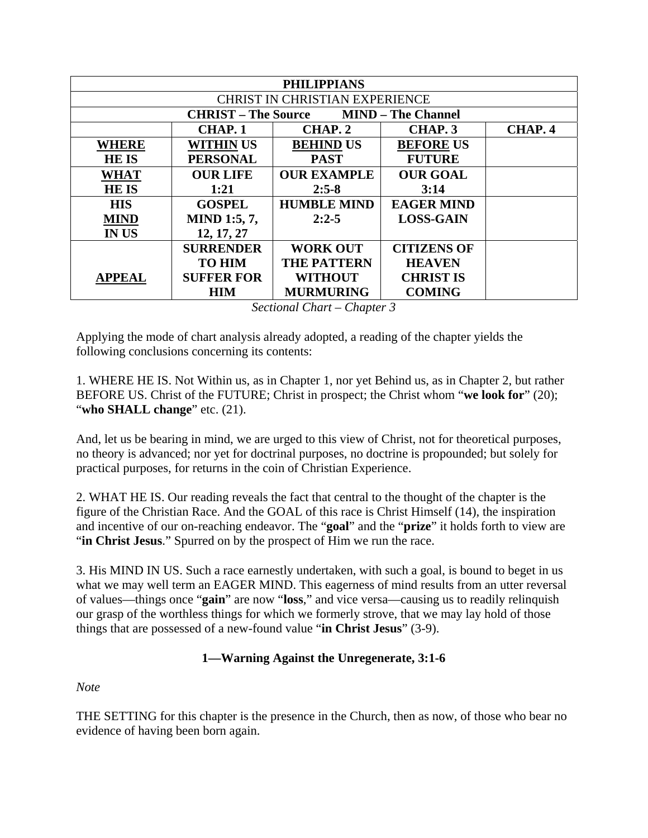| <b>PHILIPPIANS</b>                                      |                     |                    |                    |         |
|---------------------------------------------------------|---------------------|--------------------|--------------------|---------|
| <b>CHRIST IN CHRISTIAN EXPERIENCE</b>                   |                     |                    |                    |         |
| <b>MIND - The Channel</b><br><b>CHRIST – The Source</b> |                     |                    |                    |         |
|                                                         | CHAP. 1             | CHAP. 2            | CHAP. 3            | CHAP. 4 |
| <b>WHERE</b>                                            | <b>WITHIN US</b>    | <b>BEHIND US</b>   | <b>BEFORE US</b>   |         |
| <b>HEIS</b>                                             | <b>PERSONAL</b>     | <b>PAST</b>        | <b>FUTURE</b>      |         |
| <b>WHAT</b>                                             | <b>OUR LIFE</b>     | <b>OUR EXAMPLE</b> | <b>OUR GOAL</b>    |         |
| <b>HEIS</b>                                             | 1:21                | $2:5-8$            | 3:14               |         |
| <b>HIS</b>                                              | <b>GOSPEL</b>       | <b>HUMBLE MIND</b> | <b>EAGER MIND</b>  |         |
| <b>MIND</b>                                             | <b>MIND 1:5, 7,</b> | $2:2-5$            | <b>LOSS-GAIN</b>   |         |
| <b>IN US</b>                                            | 12, 17, 27          |                    |                    |         |
|                                                         | <b>SURRENDER</b>    | <b>WORK OUT</b>    | <b>CITIZENS OF</b> |         |
|                                                         | <b>TO HIM</b>       | <b>THE PATTERN</b> | <b>HEAVEN</b>      |         |
| <b>APPEAL</b>                                           | <b>SUFFER FOR</b>   | <b>WITHOUT</b>     | <b>CHRIST IS</b>   |         |
|                                                         | HIM                 | <b>MURMURING</b>   | <b>COMING</b>      |         |

*Sectional Chart – Chapter 3* 

Applying the mode of chart analysis already adopted, a reading of the chapter yields the following conclusions concerning its contents:

1. WHERE HE IS. Not Within us, as in Chapter 1, nor yet Behind us, as in Chapter 2, but rather BEFORE US. Christ of the FUTURE; Christ in prospect; the Christ whom "**we look for**" (20); "**who SHALL change**" etc. (21).

And, let us be bearing in mind, we are urged to this view of Christ, not for theoretical purposes, no theory is advanced; nor yet for doctrinal purposes, no doctrine is propounded; but solely for practical purposes, for returns in the coin of Christian Experience.

2. WHAT HE IS. Our reading reveals the fact that central to the thought of the chapter is the figure of the Christian Race. And the GOAL of this race is Christ Himself (14), the inspiration and incentive of our on-reaching endeavor. The "**goal**" and the "**prize**" it holds forth to view are "in Christ Jesus." Spurred on by the prospect of Him we run the race.

3. His MIND IN US. Such a race earnestly undertaken, with such a goal, is bound to beget in us what we may well term an EAGER MIND. This eagerness of mind results from an utter reversal of values—things once "**gain**" are now "**loss**," and vice versa—causing us to readily relinquish our grasp of the worthless things for which we formerly strove, that we may lay hold of those things that are possessed of a new-found value "**in Christ Jesus**" (3-9).

# **1—Warning Against the Unregenerate, 3:1-6**

*Note*

THE SETTING for this chapter is the presence in the Church, then as now, of those who bear no evidence of having been born again.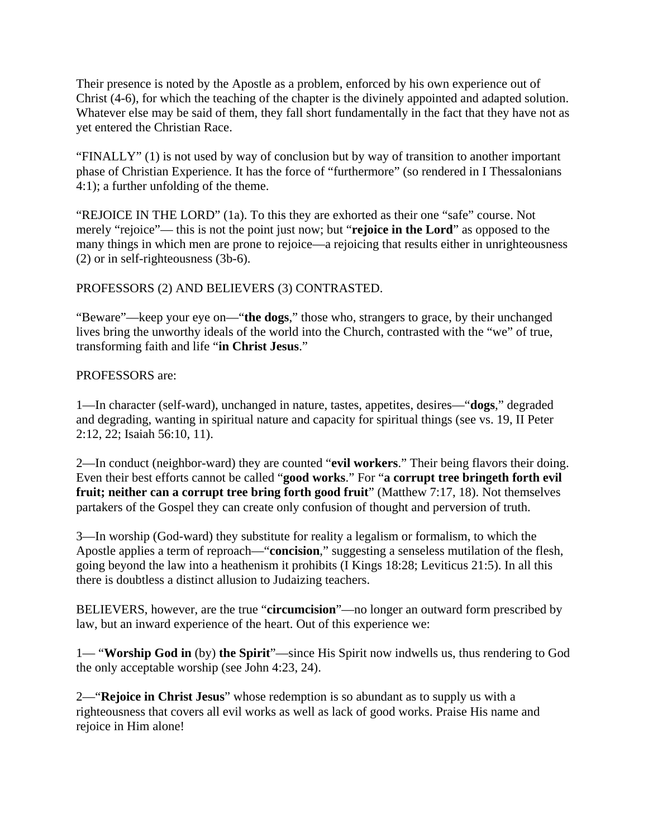Their presence is noted by the Apostle as a problem, enforced by his own experience out of Christ (4-6), for which the teaching of the chapter is the divinely appointed and adapted solution. Whatever else may be said of them, they fall short fundamentally in the fact that they have not as yet entered the Christian Race.

"FINALLY" (1) is not used by way of conclusion but by way of transition to another important phase of Christian Experience. It has the force of "furthermore" (so rendered in I Thessalonians 4:1); a further unfolding of the theme.

"REJOICE IN THE LORD" (1a). To this they are exhorted as their one "safe" course. Not merely "rejoice"— this is not the point just now; but "**rejoice in the Lord**" as opposed to the many things in which men are prone to rejoice—a rejoicing that results either in unrighteousness (2) or in self-righteousness (3b-6).

### PROFESSORS (2) AND BELIEVERS (3) CONTRASTED.

"Beware"—keep your eye on—"**the dogs**," those who, strangers to grace, by their unchanged lives bring the unworthy ideals of the world into the Church, contrasted with the "we" of true, transforming faith and life "**in Christ Jesus**."

#### PROFESSORS are:

1—In character (self-ward), unchanged in nature, tastes, appetites, desires—"**dogs**," degraded and degrading, wanting in spiritual nature and capacity for spiritual things (see vs. 19, II Peter 2:12, 22; Isaiah 56:10, 11).

2—In conduct (neighbor-ward) they are counted "**evil workers**." Their being flavors their doing. Even their best efforts cannot be called "**good works**." For "**a corrupt tree bringeth forth evil fruit; neither can a corrupt tree bring forth good fruit**" (Matthew 7:17, 18). Not themselves partakers of the Gospel they can create only confusion of thought and perversion of truth.

3—In worship (God-ward) they substitute for reality a legalism or formalism, to which the Apostle applies a term of reproach—"**concision**," suggesting a senseless mutilation of the flesh, going beyond the law into a heathenism it prohibits (I Kings 18:28; Leviticus 21:5). In all this there is doubtless a distinct allusion to Judaizing teachers.

BELIEVERS, however, are the true "**circumcision**"—no longer an outward form prescribed by law, but an inward experience of the heart. Out of this experience we:

1— "**Worship God in** (by) **the Spirit**"—since His Spirit now indwells us, thus rendering to God the only acceptable worship (see John 4:23, 24).

2—"**Rejoice in Christ Jesus**" whose redemption is so abundant as to supply us with a righteousness that covers all evil works as well as lack of good works. Praise His name and rejoice in Him alone!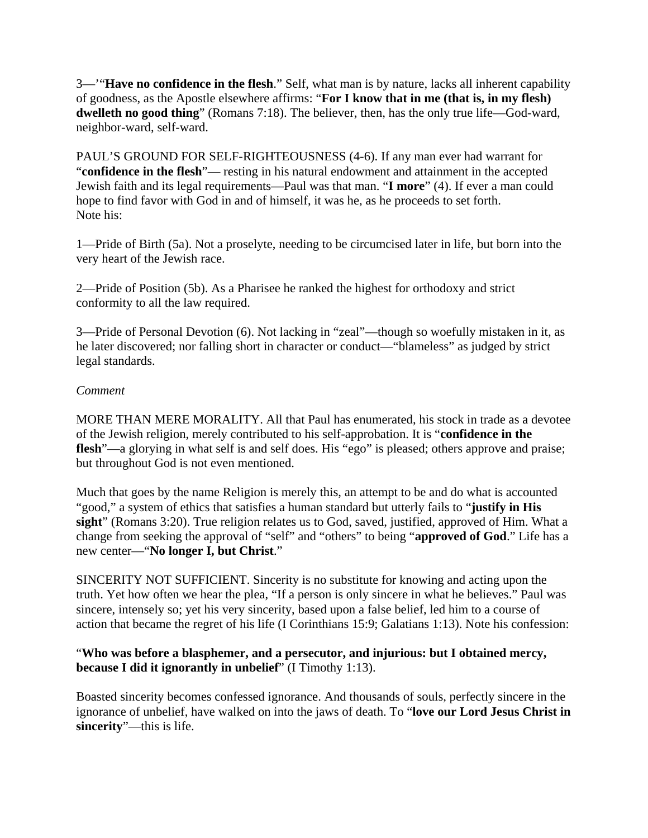3—'"**Have no confidence in the flesh**." Self, what man is by nature, lacks all inherent capability of goodness, as the Apostle elsewhere affirms: "**For I know that in me (that is, in my flesh) dwelleth no good thing**" (Romans 7:18). The believer, then, has the only true life—God-ward, neighbor-ward, self-ward.

PAUL'S GROUND FOR SELF-RIGHTEOUSNESS (4-6). If any man ever had warrant for "**confidence in the flesh**"— resting in his natural endowment and attainment in the accepted Jewish faith and its legal requirements—Paul was that man. "**I more**" (4). If ever a man could hope to find favor with God in and of himself, it was he, as he proceeds to set forth. Note his:

1—Pride of Birth (5a). Not a proselyte, needing to be circumcised later in life, but born into the very heart of the Jewish race.

2—Pride of Position (5b). As a Pharisee he ranked the highest for orthodoxy and strict conformity to all the law required.

3—Pride of Personal Devotion (6). Not lacking in "zeal"—though so woefully mistaken in it, as he later discovered; nor falling short in character or conduct—"blameless" as judged by strict legal standards.

### *Comment*

MORE THAN MERE MORALITY. All that Paul has enumerated, his stock in trade as a devotee of the Jewish religion, merely contributed to his self-approbation. It is "**confidence in the**  flesh<sup>"—a glorying in what self is and self does. His "ego" is pleased; others approve and praise;</sup> but throughout God is not even mentioned.

Much that goes by the name Religion is merely this, an attempt to be and do what is accounted "good," a system of ethics that satisfies a human standard but utterly fails to "**justify in His sight**" (Romans 3:20). True religion relates us to God, saved, justified, approved of Him. What a change from seeking the approval of "self" and "others" to being "**approved of God**." Life has a new center—"**No longer I, but Christ**."

SINCERITY NOT SUFFICIENT. Sincerity is no substitute for knowing and acting upon the truth. Yet how often we hear the plea, "If a person is only sincere in what he believes." Paul was sincere, intensely so; yet his very sincerity, based upon a false belief, led him to a course of action that became the regret of his life (I Corinthians 15:9; Galatians 1:13). Note his confession:

### "**Who was before a blasphemer, and a persecutor, and injurious: but I obtained mercy, because I did it ignorantly in unbelief**" (I Timothy 1:13).

Boasted sincerity becomes confessed ignorance. And thousands of souls, perfectly sincere in the ignorance of unbelief, have walked on into the jaws of death. To "**love our Lord Jesus Christ in sincerity**"—this is life.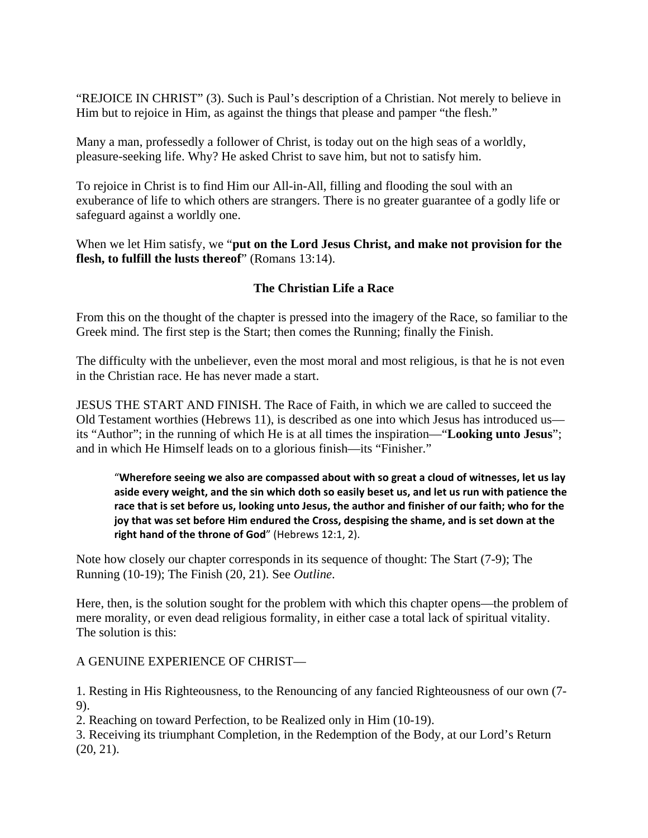"REJOICE IN CHRIST" (3). Such is Paul's description of a Christian. Not merely to believe in Him but to rejoice in Him, as against the things that please and pamper "the flesh."

Many a man, professedly a follower of Christ, is today out on the high seas of a worldly, pleasure-seeking life. Why? He asked Christ to save him, but not to satisfy him.

To rejoice in Christ is to find Him our All-in-All, filling and flooding the soul with an exuberance of life to which others are strangers. There is no greater guarantee of a godly life or safeguard against a worldly one.

When we let Him satisfy, we "**put on the Lord Jesus Christ, and make not provision for the flesh, to fulfill the lusts thereof**" (Romans 13:14).

# **The Christian Life a Race**

From this on the thought of the chapter is pressed into the imagery of the Race, so familiar to the Greek mind. The first step is the Start; then comes the Running; finally the Finish.

The difficulty with the unbeliever, even the most moral and most religious, is that he is not even in the Christian race. He has never made a start.

JESUS THE START AND FINISH. The Race of Faith, in which we are called to succeed the Old Testament worthies (Hebrews 11), is described as one into which Jesus has introduced us its "Author"; in the running of which He is at all times the inspiration—"**Looking unto Jesus**"; and in which He Himself leads on to a glorious finish—its "Finisher."

"**Wherefore seeing we also are compassed about with so great a cloud of witnesses, let us lay aside every weight, and the sin which doth so easily beset us, and let us run with patience the race that is set before us, looking unto Jesus, the author and finisher of our faith; who for the joy that was set before Him endured the Cross, despising the shame, and is set down at the right hand of the throne of God**" (Hebrews 12:1, 2).

Note how closely our chapter corresponds in its sequence of thought: The Start (7-9); The Running (10-19); The Finish (20, 21). See *Outline*.

Here, then, is the solution sought for the problem with which this chapter opens—the problem of mere morality, or even dead religious formality, in either case a total lack of spiritual vitality. The solution is this:

A GENUINE EXPERIENCE OF CHRIST—

1. Resting in His Righteousness, to the Renouncing of any fancied Righteousness of our own (7- 9).

2. Reaching on toward Perfection, to be Realized only in Him (10-19).

3. Receiving its triumphant Completion, in the Redemption of the Body, at our Lord's Return (20, 21).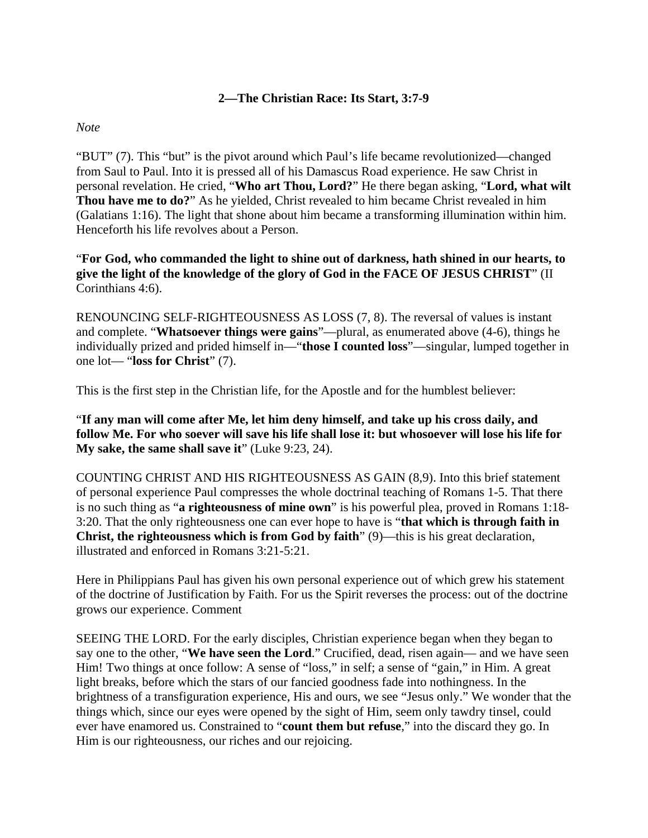#### **2—The Christian Race: Its Start, 3:7-9**

#### *Note*

"BUT" (7). This "but" is the pivot around which Paul's life became revolutionized—changed from Saul to Paul. Into it is pressed all of his Damascus Road experience. He saw Christ in personal revelation. He cried, "**Who art Thou, Lord?**" He there began asking, "**Lord, what wilt Thou have me to do?**" As he yielded, Christ revealed to him became Christ revealed in him (Galatians 1:16). The light that shone about him became a transforming illumination within him. Henceforth his life revolves about a Person.

"**For God, who commanded the light to shine out of darkness, hath shined in our hearts, to give the light of the knowledge of the glory of God in the FACE OF JESUS CHRIST**" (II Corinthians 4:6).

RENOUNCING SELF-RIGHTEOUSNESS AS LOSS (7, 8). The reversal of values is instant and complete. "**Whatsoever things were gains**"—plural, as enumerated above (4-6), things he individually prized and prided himself in—"**those I counted loss**"—singular, lumped together in one lot— "**loss for Christ**" (7).

This is the first step in the Christian life, for the Apostle and for the humblest believer:

"**If any man will come after Me, let him deny himself, and take up his cross daily, and follow Me. For who soever will save his life shall lose it: but whosoever will lose his life for My sake, the same shall save it**" (Luke 9:23, 24).

COUNTING CHRIST AND HIS RIGHTEOUSNESS AS GAIN (8,9). Into this brief statement of personal experience Paul compresses the whole doctrinal teaching of Romans 1-5. That there is no such thing as "**a righteousness of mine own**" is his powerful plea, proved in Romans 1:18- 3:20. That the only righteousness one can ever hope to have is "**that which is through faith in Christ, the righteousness which is from God by faith**" (9)—this is his great declaration, illustrated and enforced in Romans 3:21-5:21.

Here in Philippians Paul has given his own personal experience out of which grew his statement of the doctrine of Justification by Faith. For us the Spirit reverses the process: out of the doctrine grows our experience. Comment

SEEING THE LORD. For the early disciples, Christian experience began when they began to say one to the other, "**We have seen the Lord**." Crucified, dead, risen again— and we have seen Him! Two things at once follow: A sense of "loss," in self; a sense of "gain," in Him. A great light breaks, before which the stars of our fancied goodness fade into nothingness. In the brightness of a transfiguration experience, His and ours, we see "Jesus only." We wonder that the things which, since our eyes were opened by the sight of Him, seem only tawdry tinsel, could ever have enamored us. Constrained to "**count them but refuse**," into the discard they go. In Him is our righteousness, our riches and our rejoicing.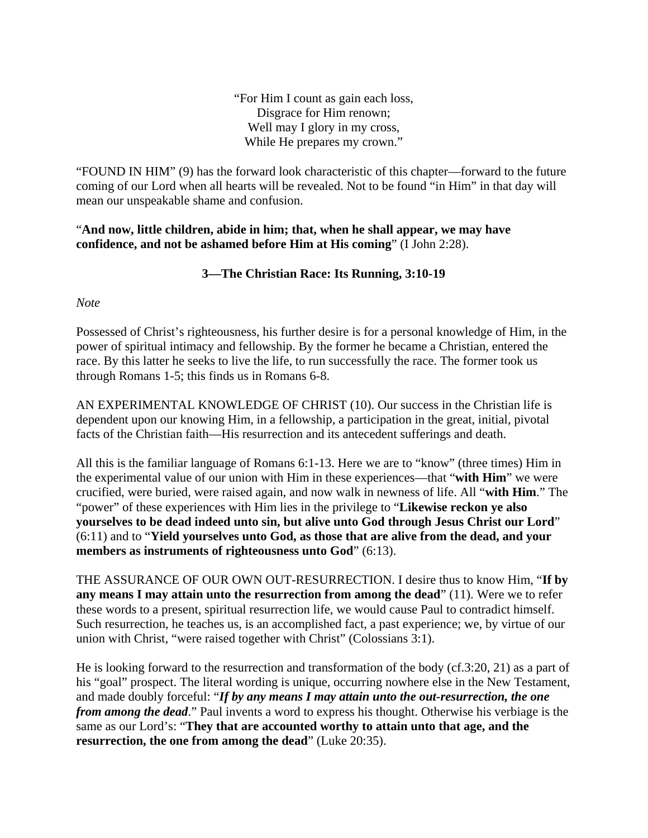"For Him I count as gain each loss, Disgrace for Him renown; Well may I glory in my cross, While He prepares my crown."

"FOUND IN HIM" (9) has the forward look characteristic of this chapter—forward to the future coming of our Lord when all hearts will be revealed. Not to be found "in Him" in that day will mean our unspeakable shame and confusion.

"**And now, little children, abide in him; that, when he shall appear, we may have confidence, and not be ashamed before Him at His coming**" (I John 2:28).

# **3—The Christian Race: Its Running, 3:10-19**

*Note*

Possessed of Christ's righteousness, his further desire is for a personal knowledge of Him, in the power of spiritual intimacy and fellowship. By the former he became a Christian, entered the race. By this latter he seeks to live the life, to run successfully the race. The former took us through Romans 1-5; this finds us in Romans 6-8.

AN EXPERIMENTAL KNOWLEDGE OF CHRIST (10). Our success in the Christian life is dependent upon our knowing Him, in a fellowship, a participation in the great, initial, pivotal facts of the Christian faith—His resurrection and its antecedent sufferings and death.

All this is the familiar language of Romans 6:1-13. Here we are to "know" (three times) Him in the experimental value of our union with Him in these experiences—that "**with Him**" we were crucified, were buried, were raised again, and now walk in newness of life. All "**with Him**." The "power" of these experiences with Him lies in the privilege to "**Likewise reckon ye also yourselves to be dead indeed unto sin, but alive unto God through Jesus Christ our Lord**" (6:11) and to "**Yield yourselves unto God, as those that are alive from the dead, and your members as instruments of righteousness unto God**" (6:13).

THE ASSURANCE OF OUR OWN OUT-RESURRECTION. I desire thus to know Him, "**If by any means I may attain unto the resurrection from among the dead**" (11). Were we to refer these words to a present, spiritual resurrection life, we would cause Paul to contradict himself. Such resurrection, he teaches us, is an accomplished fact, a past experience; we, by virtue of our union with Christ, "were raised together with Christ" (Colossians 3:1).

He is looking forward to the resurrection and transformation of the body (cf.3:20, 21) as a part of his "goal" prospect. The literal wording is unique, occurring nowhere else in the New Testament, and made doubly forceful: "*If by any means I may attain unto the out-resurrection, the one from among the dead*." Paul invents a word to express his thought. Otherwise his verbiage is the same as our Lord's: "**They that are accounted worthy to attain unto that age, and the resurrection, the one from among the dead**" (Luke 20:35).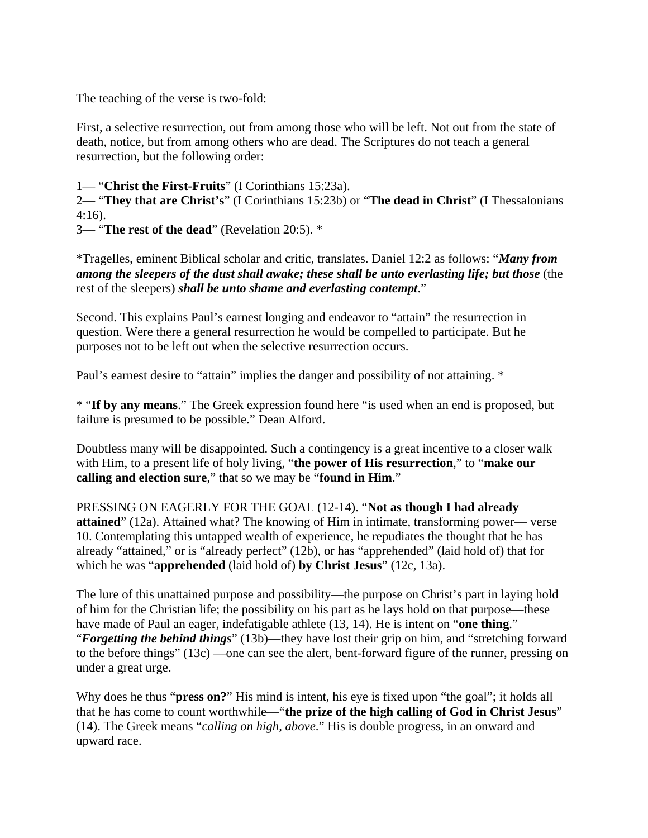The teaching of the verse is two-fold:

First, a selective resurrection, out from among those who will be left. Not out from the state of death, notice, but from among others who are dead. The Scriptures do not teach a general resurrection, but the following order:

1— "**Christ the First-Fruits**" (I Corinthians 15:23a).

2— "**They that are Christ's**" (I Corinthians 15:23b) or "**The dead in Christ**" (I Thessalonians 4:16).

3— "**The rest of the dead**" (Revelation 20:5). \*

\*Tragelles, eminent Biblical scholar and critic, translates. Daniel 12:2 as follows: "*Many from among the sleepers of the dust shall awake; these shall be unto everlasting life; but those* (the rest of the sleepers) *shall be unto shame and everlasting contempt*."

Second. This explains Paul's earnest longing and endeavor to "attain" the resurrection in question. Were there a general resurrection he would be compelled to participate. But he purposes not to be left out when the selective resurrection occurs.

Paul's earnest desire to "attain" implies the danger and possibility of not attaining.  $*$ 

\* "**If by any means**." The Greek expression found here "is used when an end is proposed, but failure is presumed to be possible." Dean Alford.

Doubtless many will be disappointed. Such a contingency is a great incentive to a closer walk with Him, to a present life of holy living, "**the power of His resurrection**," to "**make our calling and election sure**," that so we may be "**found in Him**."

PRESSING ON EAGERLY FOR THE GOAL (12-14). "**Not as though I had already attained**" (12a). Attained what? The knowing of Him in intimate, transforming power— verse 10. Contemplating this untapped wealth of experience, he repudiates the thought that he has already "attained," or is "already perfect" (12b), or has "apprehended" (laid hold of) that for which he was "**apprehended** (laid hold of) **by Christ Jesus**" (12c, 13a).

The lure of this unattained purpose and possibility—the purpose on Christ's part in laying hold of him for the Christian life; the possibility on his part as he lays hold on that purpose—these have made of Paul an eager, indefatigable athlete (13, 14). He is intent on "**one thing**." "*Forgetting the behind things*" (13b)—they have lost their grip on him, and "stretching forward to the before things" (13c) —one can see the alert, bent-forward figure of the runner, pressing on under a great urge.

Why does he thus "**press on?**" His mind is intent, his eye is fixed upon "the goal"; it holds all that he has come to count worthwhile—"**the prize of the high calling of God in Christ Jesus**" (14). The Greek means "*calling on high, above*." His is double progress, in an onward and upward race.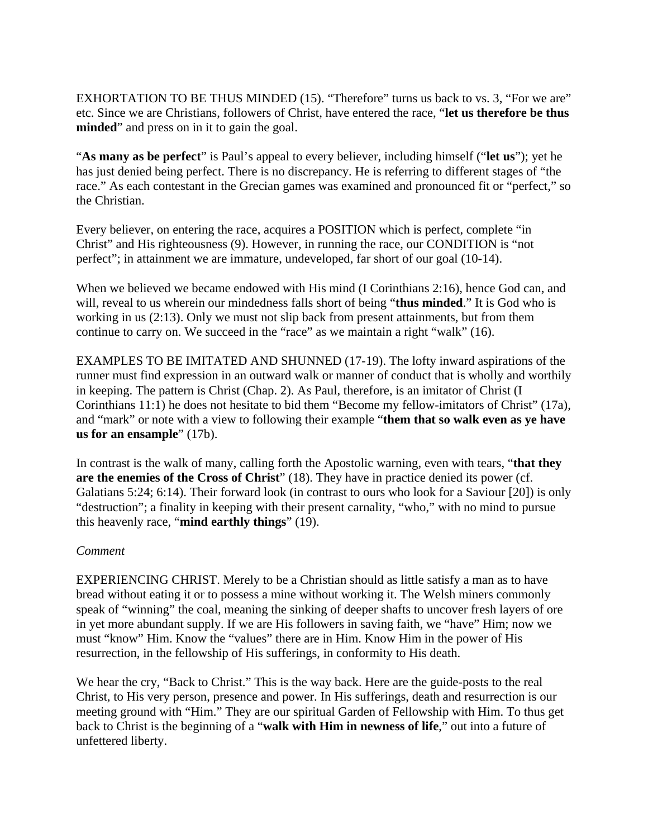EXHORTATION TO BE THUS MINDED (15). "Therefore" turns us back to vs. 3, "For we are" etc. Since we are Christians, followers of Christ, have entered the race, "**let us therefore be thus minded**" and press on in it to gain the goal.

"**As many as be perfect**" is Paul's appeal to every believer, including himself ("**let us**"); yet he has just denied being perfect. There is no discrepancy. He is referring to different stages of "the race." As each contestant in the Grecian games was examined and pronounced fit or "perfect," so the Christian.

Every believer, on entering the race, acquires a POSITION which is perfect, complete "in Christ" and His righteousness (9). However, in running the race, our CONDITION is "not perfect"; in attainment we are immature, undeveloped, far short of our goal (10-14).

When we believed we became endowed with His mind (I Corinthians 2:16), hence God can, and will, reveal to us wherein our mindedness falls short of being "**thus minded**." It is God who is working in us (2:13). Only we must not slip back from present attainments, but from them continue to carry on. We succeed in the "race" as we maintain a right "walk" (16).

EXAMPLES TO BE IMITATED AND SHUNNED (17-19). The lofty inward aspirations of the runner must find expression in an outward walk or manner of conduct that is wholly and worthily in keeping. The pattern is Christ (Chap. 2). As Paul, therefore, is an imitator of Christ (I Corinthians 11:1) he does not hesitate to bid them "Become my fellow-imitators of Christ" (17a), and "mark" or note with a view to following their example "**them that so walk even as ye have us for an ensample**" (17b).

In contrast is the walk of many, calling forth the Apostolic warning, even with tears, "**that they are the enemies of the Cross of Christ**" (18). They have in practice denied its power (cf. Galatians 5:24; 6:14). Their forward look (in contrast to ours who look for a Saviour [20]) is only "destruction"; a finality in keeping with their present carnality, "who," with no mind to pursue this heavenly race, "**mind earthly things**" (19).

### *Comment*

EXPERIENCING CHRIST. Merely to be a Christian should as little satisfy a man as to have bread without eating it or to possess a mine without working it. The Welsh miners commonly speak of "winning" the coal, meaning the sinking of deeper shafts to uncover fresh layers of ore in yet more abundant supply. If we are His followers in saving faith, we "have" Him; now we must "know" Him. Know the "values" there are in Him. Know Him in the power of His resurrection, in the fellowship of His sufferings, in conformity to His death.

We hear the cry, "Back to Christ." This is the way back. Here are the guide-posts to the real Christ, to His very person, presence and power. In His sufferings, death and resurrection is our meeting ground with "Him." They are our spiritual Garden of Fellowship with Him. To thus get back to Christ is the beginning of a "**walk with Him in newness of life**," out into a future of unfettered liberty.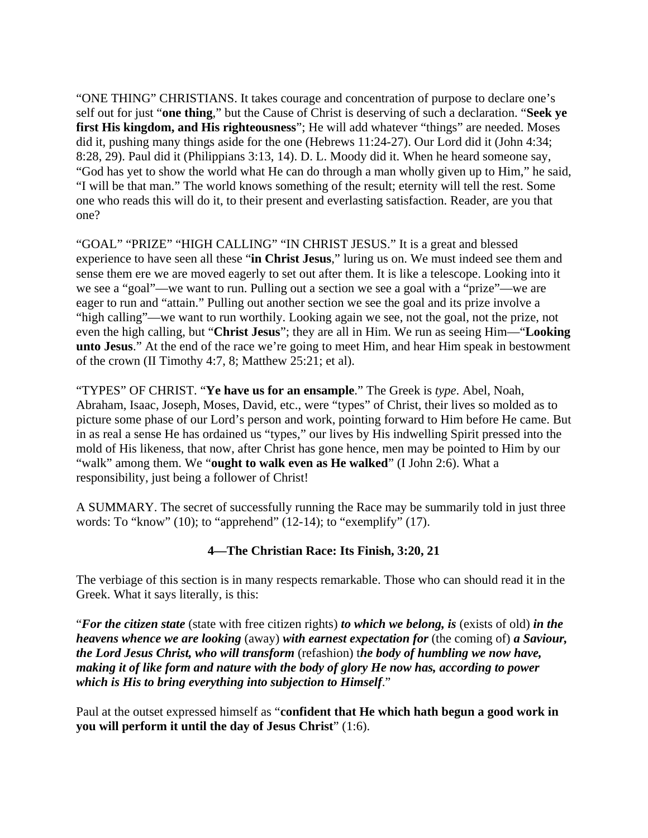"ONE THING" CHRISTIANS. It takes courage and concentration of purpose to declare one's self out for just "**one thing**," but the Cause of Christ is deserving of such a declaration. "**Seek ye first His kingdom, and His righteousness**"; He will add whatever "things" are needed. Moses did it, pushing many things aside for the one (Hebrews 11:24-27). Our Lord did it (John 4:34; 8:28, 29). Paul did it (Philippians 3:13, 14). D. L. Moody did it. When he heard someone say, "God has yet to show the world what He can do through a man wholly given up to Him," he said, "I will be that man." The world knows something of the result; eternity will tell the rest. Some one who reads this will do it, to their present and everlasting satisfaction. Reader, are you that one?

"GOAL" "PRIZE" "HIGH CALLING" "IN CHRIST JESUS." It is a great and blessed experience to have seen all these "**in Christ Jesus**," luring us on. We must indeed see them and sense them ere we are moved eagerly to set out after them. It is like a telescope. Looking into it we see a "goal"—we want to run. Pulling out a section we see a goal with a "prize"—we are eager to run and "attain." Pulling out another section we see the goal and its prize involve a "high calling"—we want to run worthily. Looking again we see, not the goal, not the prize, not even the high calling, but "**Christ Jesus**"; they are all in Him. We run as seeing Him—"**Looking unto Jesus**." At the end of the race we're going to meet Him, and hear Him speak in bestowment of the crown (II Timothy 4:7, 8; Matthew 25:21; et al).

"TYPES" OF CHRIST. "**Ye have us for an ensample**." The Greek is *type*. Abel, Noah, Abraham, Isaac, Joseph, Moses, David, etc., were "types" of Christ, their lives so molded as to picture some phase of our Lord's person and work, pointing forward to Him before He came. But in as real a sense He has ordained us "types," our lives by His indwelling Spirit pressed into the mold of His likeness, that now, after Christ has gone hence, men may be pointed to Him by our "walk" among them. We "**ought to walk even as He walked**" (I John 2:6). What a responsibility, just being a follower of Christ!

A SUMMARY. The secret of successfully running the Race may be summarily told in just three words: To "know" (10); to "apprehend" (12-14); to "exemplify" (17).

# **4—The Christian Race: Its Finish, 3:20, 21**

The verbiage of this section is in many respects remarkable. Those who can should read it in the Greek. What it says literally, is this:

"*For the citizen state* (state with free citizen rights) *to which we belong, is* (exists of old) *in the heavens whence we are looking* (away) *with earnest expectation for* (the coming of) *a Saviour, the Lord Jesus Christ, who will transform* (refashion) t*he body of humbling we now have, making it of like form and nature with the body of glory He now has, according to power which is His to bring everything into subjection to Himself*."

Paul at the outset expressed himself as "**confident that He which hath begun a good work in you will perform it until the day of Jesus Christ**" (1:6).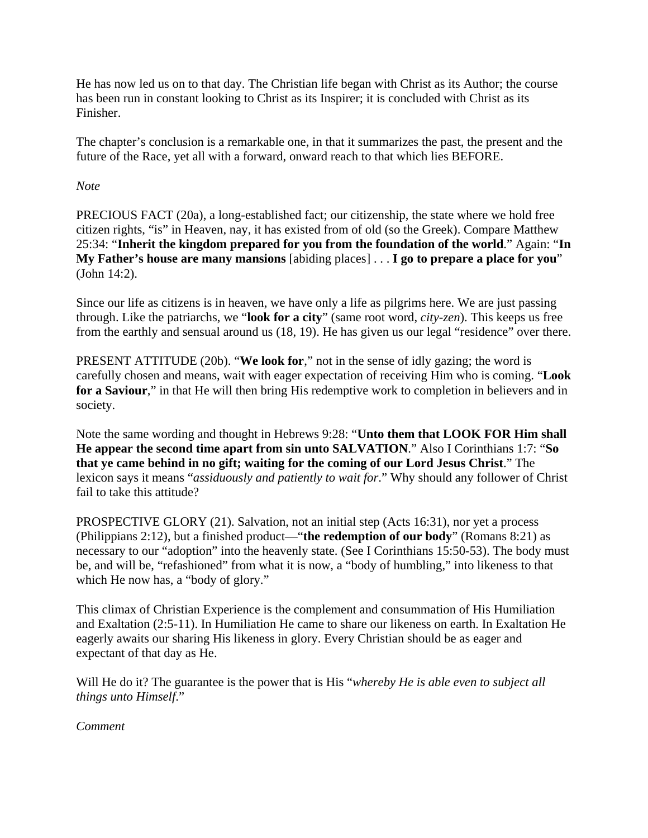He has now led us on to that day. The Christian life began with Christ as its Author; the course has been run in constant looking to Christ as its Inspirer; it is concluded with Christ as its Finisher.

The chapter's conclusion is a remarkable one, in that it summarizes the past, the present and the future of the Race, yet all with a forward, onward reach to that which lies BEFORE.

#### *Note*

PRECIOUS FACT (20a), a long-established fact; our citizenship, the state where we hold free citizen rights, "is" in Heaven, nay, it has existed from of old (so the Greek). Compare Matthew 25:34: "**Inherit the kingdom prepared for you from the foundation of the world**." Again: "**In My Father's house are many mansions** [abiding places] . . . **I go to prepare a place for you**" (John 14:2).

Since our life as citizens is in heaven, we have only a life as pilgrims here. We are just passing through. Like the patriarchs, we "**look for a city**" (same root word, *city-zen*). This keeps us free from the earthly and sensual around us (18, 19). He has given us our legal "residence" over there.

PRESENT ATTITUDE (20b). "**We look for**," not in the sense of idly gazing; the word is carefully chosen and means, wait with eager expectation of receiving Him who is coming. "**Look**  for a Saviour," in that He will then bring His redemptive work to completion in believers and in society.

Note the same wording and thought in Hebrews 9:28: "**Unto them that LOOK FOR Him shall He appear the second time apart from sin unto SALVATION**." Also I Corinthians 1:7: "**So that ye came behind in no gift; waiting for the coming of our Lord Jesus Christ**." The lexicon says it means "*assiduously and patiently to wait for*." Why should any follower of Christ fail to take this attitude?

PROSPECTIVE GLORY (21). Salvation, not an initial step (Acts 16:31), nor yet a process (Philippians 2:12), but a finished product—"**the redemption of our body**" (Romans 8:21) as necessary to our "adoption" into the heavenly state. (See I Corinthians 15:50-53). The body must be, and will be, "refashioned" from what it is now, a "body of humbling," into likeness to that which He now has, a "body of glory."

This climax of Christian Experience is the complement and consummation of His Humiliation and Exaltation (2:5-11). In Humiliation He came to share our likeness on earth. In Exaltation He eagerly awaits our sharing His likeness in glory. Every Christian should be as eager and expectant of that day as He.

Will He do it? The guarantee is the power that is His "*whereby He is able even to subject all things unto Himself*."

*Comment*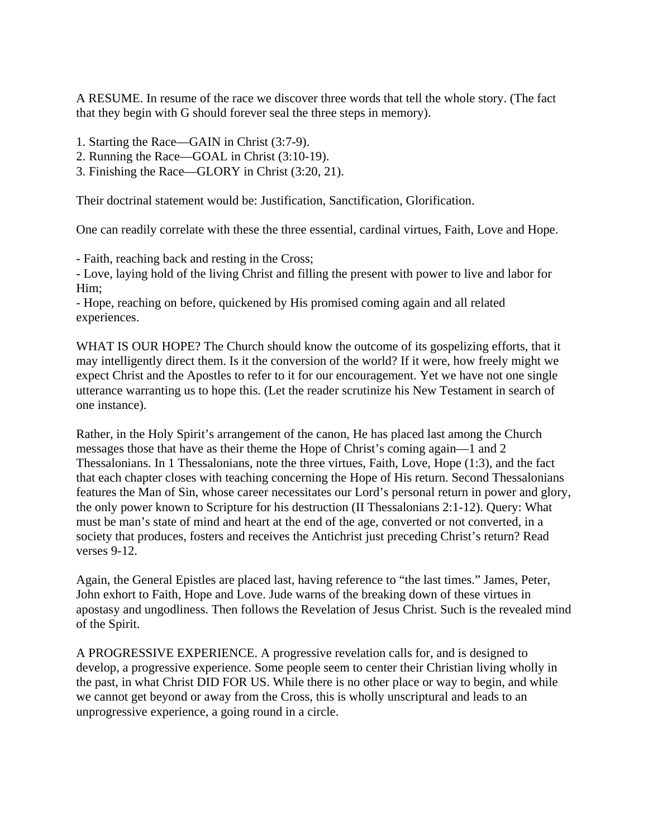A RESUME. In resume of the race we discover three words that tell the whole story. (The fact that they begin with G should forever seal the three steps in memory).

- 1. Starting the Race—GAIN in Christ (3:7-9).
- 2. Running the Race—GOAL in Christ (3:10-19).
- 3. Finishing the Race—GLORY in Christ (3:20, 21).

Their doctrinal statement would be: Justification, Sanctification, Glorification.

One can readily correlate with these the three essential, cardinal virtues, Faith, Love and Hope.

- Faith, reaching back and resting in the Cross;

- Love, laying hold of the living Christ and filling the present with power to live and labor for Him;

- Hope, reaching on before, quickened by His promised coming again and all related experiences.

WHAT IS OUR HOPE? The Church should know the outcome of its gospelizing efforts, that it may intelligently direct them. Is it the conversion of the world? If it were, how freely might we expect Christ and the Apostles to refer to it for our encouragement. Yet we have not one single utterance warranting us to hope this. (Let the reader scrutinize his New Testament in search of one instance).

Rather, in the Holy Spirit's arrangement of the canon, He has placed last among the Church messages those that have as their theme the Hope of Christ's coming again—1 and 2 Thessalonians. In 1 Thessalonians, note the three virtues, Faith, Love, Hope (1:3), and the fact that each chapter closes with teaching concerning the Hope of His return. Second Thessalonians features the Man of Sin, whose career necessitates our Lord's personal return in power and glory, the only power known to Scripture for his destruction (II Thessalonians 2:1-12). Query: What must be man's state of mind and heart at the end of the age, converted or not converted, in a society that produces, fosters and receives the Antichrist just preceding Christ's return? Read verses 9-12.

Again, the General Epistles are placed last, having reference to "the last times." James, Peter, John exhort to Faith, Hope and Love. Jude warns of the breaking down of these virtues in apostasy and ungodliness. Then follows the Revelation of Jesus Christ. Such is the revealed mind of the Spirit.

A PROGRESSIVE EXPERIENCE. A progressive revelation calls for, and is designed to develop, a progressive experience. Some people seem to center their Christian living wholly in the past, in what Christ DID FOR US. While there is no other place or way to begin, and while we cannot get beyond or away from the Cross, this is wholly unscriptural and leads to an unprogressive experience, a going round in a circle.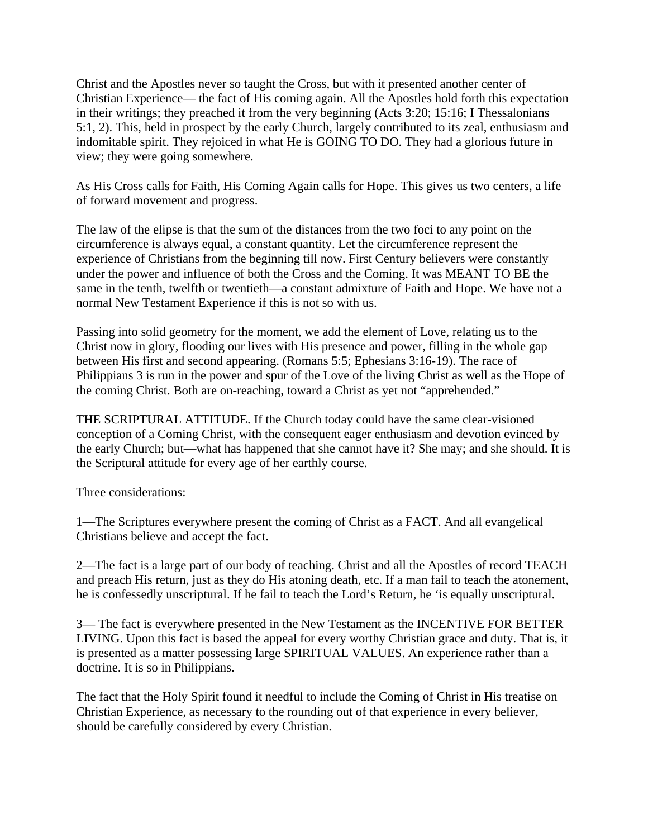Christ and the Apostles never so taught the Cross, but with it presented another center of Christian Experience— the fact of His coming again. All the Apostles hold forth this expectation in their writings; they preached it from the very beginning (Acts 3:20; 15:16; I Thessalonians 5:1, 2). This, held in prospect by the early Church, largely contributed to its zeal, enthusiasm and indomitable spirit. They rejoiced in what He is GOING TO DO. They had a glorious future in view; they were going somewhere.

As His Cross calls for Faith, His Coming Again calls for Hope. This gives us two centers, a life of forward movement and progress.

The law of the elipse is that the sum of the distances from the two foci to any point on the circumference is always equal, a constant quantity. Let the circumference represent the experience of Christians from the beginning till now. First Century believers were constantly under the power and influence of both the Cross and the Coming. It was MEANT TO BE the same in the tenth, twelfth or twentieth—a constant admixture of Faith and Hope. We have not a normal New Testament Experience if this is not so with us.

Passing into solid geometry for the moment, we add the element of Love, relating us to the Christ now in glory, flooding our lives with His presence and power, filling in the whole gap between His first and second appearing. (Romans 5:5; Ephesians 3:16-19). The race of Philippians 3 is run in the power and spur of the Love of the living Christ as well as the Hope of the coming Christ. Both are on-reaching, toward a Christ as yet not "apprehended."

THE SCRIPTURAL ATTITUDE. If the Church today could have the same clear-visioned conception of a Coming Christ, with the consequent eager enthusiasm and devotion evinced by the early Church; but—what has happened that she cannot have it? She may; and she should. It is the Scriptural attitude for every age of her earthly course.

Three considerations:

1—The Scriptures everywhere present the coming of Christ as a FACT. And all evangelical Christians believe and accept the fact.

2—The fact is a large part of our body of teaching. Christ and all the Apostles of record TEACH and preach His return, just as they do His atoning death, etc. If a man fail to teach the atonement, he is confessedly unscriptural. If he fail to teach the Lord's Return, he 'is equally unscriptural.

3— The fact is everywhere presented in the New Testament as the INCENTIVE FOR BETTER LIVING. Upon this fact is based the appeal for every worthy Christian grace and duty. That is, it is presented as a matter possessing large SPIRITUAL VALUES. An experience rather than a doctrine. It is so in Philippians.

The fact that the Holy Spirit found it needful to include the Coming of Christ in His treatise on Christian Experience, as necessary to the rounding out of that experience in every believer, should be carefully considered by every Christian.